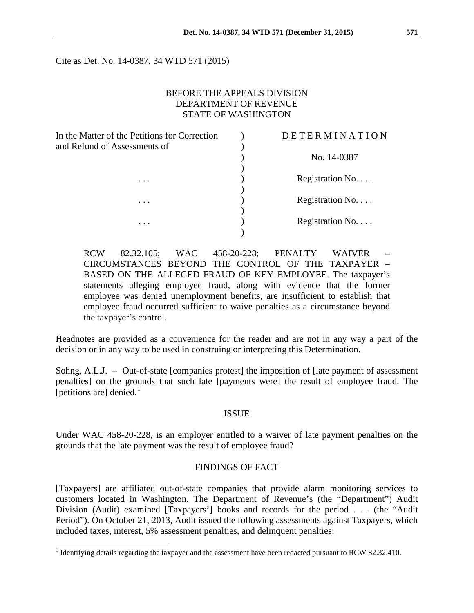Cite as Det. No. 14-0387, 34 WTD 571 (2015)

## BEFORE THE APPEALS DIVISION DEPARTMENT OF REVENUE STATE OF WASHINGTON

| In the Matter of the Petitions for Correction<br>and Refund of Assessments of | DETERMINATI      |
|-------------------------------------------------------------------------------|------------------|
|                                                                               | No. 14-0387      |
| $\cdots$                                                                      | Registration No. |
| $\cdots$                                                                      | Registration No. |
|                                                                               | Registration No. |
| $\cdots$                                                                      |                  |

RCW 82.32.105; WAC 458-20-228; PENALTY WAIVER – CIRCUMSTANCES BEYOND THE CONTROL OF THE TAXPAYER – BASED ON THE ALLEGED FRAUD OF KEY EMPLOYEE. The taxpayer's statements alleging employee fraud, along with evidence that the former employee was denied unemployment benefits, are insufficient to establish that employee fraud occurred sufficient to waive penalties as a circumstance beyond the taxpayer's control.

Headnotes are provided as a convenience for the reader and are not in any way a part of the decision or in any way to be used in construing or interpreting this Determination.

Sohng, A.L.J. – Out-of-state [companies protest] the imposition of [late payment of assessment penalties] on the grounds that such late [payments were] the result of employee fraud. The [petitions are] denied. $<sup>1</sup>$  $<sup>1</sup>$  $<sup>1</sup>$ </sup>

#### ISSUE

Under WAC 458-20-228, is an employer entitled to a waiver of late payment penalties on the grounds that the late payment was the result of employee fraud?

### FINDINGS OF FACT

[Taxpayers] are affiliated out-of-state companies that provide alarm monitoring services to customers located in Washington. The Department of Revenue's (the "Department") Audit Division (Audit) examined [Taxpayers'] books and records for the period . . . (the "Audit Period"). On October 21, 2013, Audit issued the following assessments against Taxpayers, which included taxes, interest, 5% assessment penalties, and delinquent penalties:

<span id="page-0-0"></span><sup>&</sup>lt;sup>1</sup> Identifying details regarding the taxpayer and the assessment have been redacted pursuant to RCW 82.32.410.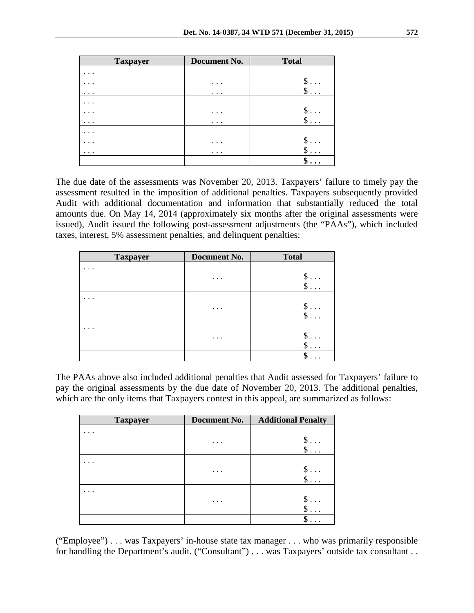| <b>Taxpayer</b> | Document No. | <b>Total</b> |
|-----------------|--------------|--------------|
| $\cdots$        |              |              |
| . .             | .            | $\$\ldots$   |
| $\cdots$        | $\cdots$     | $\$\ldots$   |
|                 |              |              |
| .               | $\cdots$     | $\$\ldots$   |
| $\cdots$        | $\cdots$     | $\$\ldots$   |
| .               |              |              |
|                 | .            | $\$\ldots$   |
| $\cdots$        | $\cdots$     | $\$\ldots$   |
|                 |              |              |

The due date of the assessments was November 20, 2013. Taxpayers' failure to timely pay the assessment resulted in the imposition of additional penalties. Taxpayers subsequently provided Audit with additional documentation and information that substantially reduced the total amounts due. On May 14, 2014 (approximately six months after the original assessments were issued), Audit issued the following post-assessment adjustments (the "PAAs"), which included taxes, interest, 5% assessment penalties, and delinquent penalties:

| <b>Taxpayer</b> | <b>Document No.</b>  | <b>Total</b>                   |
|-----------------|----------------------|--------------------------------|
| .               |                      |                                |
|                 | $\cdot$ $\cdot$      | ♪                              |
|                 |                      |                                |
|                 |                      |                                |
|                 | $\cdot$ $\cdot$      | $\cdots$                       |
|                 |                      | $\cdot$                        |
|                 |                      |                                |
|                 | $\ddot{\phantom{a}}$ | $\S \dots$                     |
|                 |                      |                                |
|                 |                      | œ<br>D<br>$\ddot{\phantom{0}}$ |

The PAAs above also included additional penalties that Audit assessed for Taxpayers' failure to pay the original assessments by the due date of November 20, 2013. The additional penalties, which are the only items that Taxpayers contest in this appeal, are summarized as follows:

| <b>Taxpayer</b> | Document No. | <b>Additional Penalty</b> |
|-----------------|--------------|---------------------------|
|                 |              |                           |
|                 | .            |                           |
|                 |              |                           |
|                 |              |                           |
|                 | .            |                           |
|                 |              |                           |
|                 |              |                           |
|                 | .            |                           |
|                 |              |                           |
|                 |              |                           |

("Employee") . . . was Taxpayers' in-house state tax manager . . . who was primarily responsible for handling the Department's audit. ("Consultant") . . . was Taxpayers' outside tax consultant . .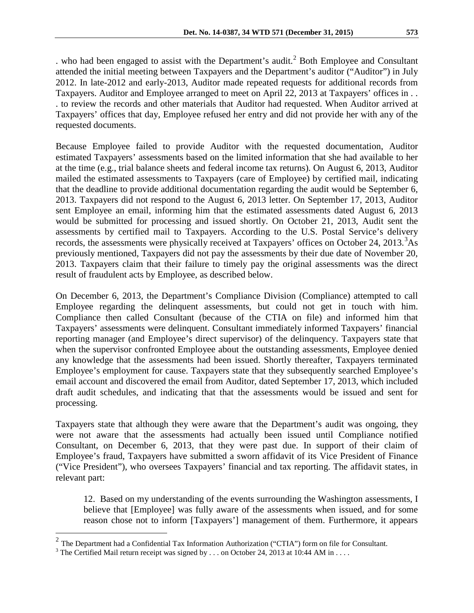. who had been engaged to assist with the Department's audit.<sup>[2](#page-2-0)</sup> Both Employee and Consultant attended the initial meeting between Taxpayers and the Department's auditor ("Auditor") in July 2012. In late-2012 and early-2013, Auditor made repeated requests for additional records from Taxpayers. Auditor and Employee arranged to meet on April 22, 2013 at Taxpayers' offices in . . . to review the records and other materials that Auditor had requested. When Auditor arrived at Taxpayers' offices that day, Employee refused her entry and did not provide her with any of the requested documents.

Because Employee failed to provide Auditor with the requested documentation, Auditor estimated Taxpayers' assessments based on the limited information that she had available to her at the time (e.g., trial balance sheets and federal income tax returns). On August 6, 2013, Auditor mailed the estimated assessments to Taxpayers (care of Employee) by certified mail, indicating that the deadline to provide additional documentation regarding the audit would be September 6, 2013. Taxpayers did not respond to the August 6, 2013 letter. On September 17, 2013, Auditor sent Employee an email, informing him that the estimated assessments dated August 6, 2013 would be submitted for processing and issued shortly. On October 21, 2013, Audit sent the assessments by certified mail to Taxpayers. According to the U.S. Postal Service's delivery records, the assessments were physically received at Taxpayers' offices on October 24, 201[3](#page-2-1).<sup>3</sup>As previously mentioned, Taxpayers did not pay the assessments by their due date of November 20, 2013. Taxpayers claim that their failure to timely pay the original assessments was the direct result of fraudulent acts by Employee, as described below.

On December 6, 2013, the Department's Compliance Division (Compliance) attempted to call Employee regarding the delinquent assessments, but could not get in touch with him. Compliance then called Consultant (because of the CTIA on file) and informed him that Taxpayers' assessments were delinquent. Consultant immediately informed Taxpayers' financial reporting manager (and Employee's direct supervisor) of the delinquency. Taxpayers state that when the supervisor confronted Employee about the outstanding assessments, Employee denied any knowledge that the assessments had been issued. Shortly thereafter, Taxpayers terminated Employee's employment for cause. Taxpayers state that they subsequently searched Employee's email account and discovered the email from Auditor, dated September 17, 2013, which included draft audit schedules, and indicating that that the assessments would be issued and sent for processing.

Taxpayers state that although they were aware that the Department's audit was ongoing, they were not aware that the assessments had actually been issued until Compliance notified Consultant, on December 6, 2013, that they were past due. In support of their claim of Employee's fraud, Taxpayers have submitted a sworn affidavit of its Vice President of Finance ("Vice President"), who oversees Taxpayers' financial and tax reporting. The affidavit states, in relevant part:

12. Based on my understanding of the events surrounding the Washington assessments, I believe that [Employee] was fully aware of the assessments when issued, and for some reason chose not to inform [Taxpayers'] management of them. Furthermore, it appears

<span id="page-2-0"></span><sup>&</sup>lt;sup>2</sup> The Department had a Confidential Tax Information Authorization ("CTIA") form on file for Consultant. <sup>3</sup> The Certified Mail return receipt was signed by . . . on October 24, 2013 at 10:44 AM in . . . .

<span id="page-2-1"></span>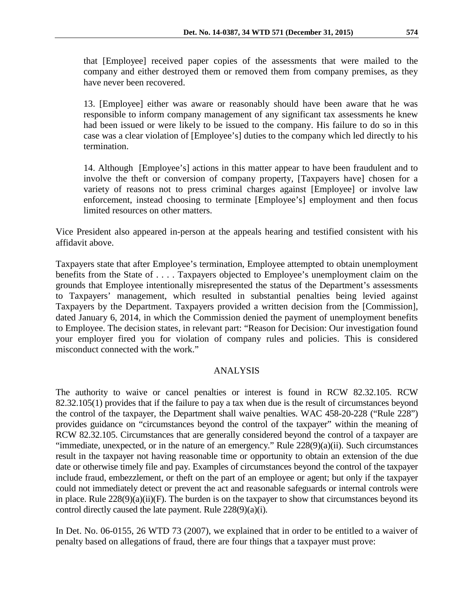that [Employee] received paper copies of the assessments that were mailed to the company and either destroyed them or removed them from company premises, as they have never been recovered.

13. [Employee] either was aware or reasonably should have been aware that he was responsible to inform company management of any significant tax assessments he knew had been issued or were likely to be issued to the company. His failure to do so in this case was a clear violation of [Employee's] duties to the company which led directly to his termination.

14. Although [Employee's] actions in this matter appear to have been fraudulent and to involve the theft or conversion of company property, [Taxpayers have] chosen for a variety of reasons not to press criminal charges against [Employee] or involve law enforcement, instead choosing to terminate [Employee's] employment and then focus limited resources on other matters.

Vice President also appeared in-person at the appeals hearing and testified consistent with his affidavit above.

Taxpayers state that after Employee's termination, Employee attempted to obtain unemployment benefits from the State of . . . . Taxpayers objected to Employee's unemployment claim on the grounds that Employee intentionally misrepresented the status of the Department's assessments to Taxpayers' management, which resulted in substantial penalties being levied against Taxpayers by the Department. Taxpayers provided a written decision from the [Commission], dated January 6, 2014, in which the Commission denied the payment of unemployment benefits to Employee. The decision states, in relevant part: "Reason for Decision: Our investigation found your employer fired you for violation of company rules and policies. This is considered misconduct connected with the work."

# ANALYSIS

The authority to waive or cancel penalties or interest is found in RCW 82.32.105. RCW 82.32.105(1) provides that if the failure to pay a tax when due is the result of circumstances beyond the control of the taxpayer, the Department shall waive penalties. WAC 458-20-228 ("Rule 228") provides guidance on "circumstances beyond the control of the taxpayer" within the meaning of RCW 82.32.105. Circumstances that are generally considered beyond the control of a taxpayer are "immediate, unexpected, or in the nature of an emergency." Rule 228(9)(a)(ii). Such circumstances result in the taxpayer not having reasonable time or opportunity to obtain an extension of the due date or otherwise timely file and pay. Examples of circumstances beyond the control of the taxpayer include fraud, embezzlement, or theft on the part of an employee or agent; but only if the taxpayer could not immediately detect or prevent the act and reasonable safeguards or internal controls were in place. Rule 228(9)(a)(ii)(F). The burden is on the taxpayer to show that circumstances beyond its control directly caused the late payment. Rule 228(9)(a)(i)*.*

In Det. No. 06-0155, 26 WTD 73 (2007), we explained that in order to be entitled to a waiver of penalty based on allegations of fraud, there are four things that a taxpayer must prove: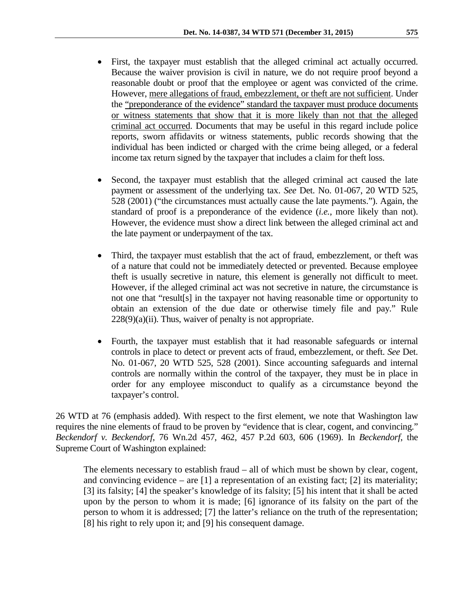- First, the taxpayer must establish that the alleged criminal act actually occurred. Because the waiver provision is civil in nature, we do not require proof beyond a reasonable doubt or proof that the employee or agent was convicted of the crime. However, mere allegations of fraud, embezzlement, or theft are not sufficient. Under the "preponderance of the evidence" standard the taxpayer must produce documents or witness statements that show that it is more likely than not that the alleged criminal act occurred. Documents that may be useful in this regard include police reports, sworn affidavits or witness statements, public records showing that the individual has been indicted or charged with the crime being alleged, or a federal income tax return signed by the taxpayer that includes a claim for theft loss.
- Second, the taxpayer must establish that the alleged criminal act caused the late payment or assessment of the underlying tax. *See* Det. No. 01-067, 20 WTD 525, 528 (2001) ("the circumstances must actually cause the late payments."). Again, the standard of proof is a preponderance of the evidence (*i.e.*, more likely than not). However, the evidence must show a direct link between the alleged criminal act and the late payment or underpayment of the tax.
- Third, the taxpayer must establish that the act of fraud, embezzlement, or theft was of a nature that could not be immediately detected or prevented. Because employee theft is usually secretive in nature, this element is generally not difficult to meet. However, if the alleged criminal act was not secretive in nature, the circumstance is not one that "result[s] in the taxpayer not having reasonable time or opportunity to obtain an extension of the due date or otherwise timely file and pay." Rule  $228(9)(a)(ii)$ . Thus, waiver of penalty is not appropriate.
- Fourth, the taxpayer must establish that it had reasonable safeguards or internal controls in place to detect or prevent acts of fraud, embezzlement, or theft. *See* Det. No. 01-067, 20 WTD 525, 528 (2001). Since accounting safeguards and internal controls are normally within the control of the taxpayer, they must be in place in order for any employee misconduct to qualify as a circumstance beyond the taxpayer's control.

26 WTD at 76 (emphasis added). With respect to the first element, we note that Washington law requires the nine elements of fraud to be proven by "evidence that is clear, cogent, and convincing." *Beckendorf v. Beckendorf*, 76 Wn.2d 457, 462, 457 P.2d 603, 606 (1969). In *Beckendorf*, the Supreme Court of Washington explained:

The elements necessary to establish fraud – all of which must be shown by clear, cogent, and convincing evidence – are  $[1]$  a representation of an existing fact;  $[2]$  its materiality; [3] its falsity; [4] the speaker's knowledge of its falsity; [5] his intent that it shall be acted upon by the person to whom it is made; [6] ignorance of its falsity on the part of the person to whom it is addressed; [7] the latter's reliance on the truth of the representation; [8] his right to rely upon it; and [9] his consequent damage.